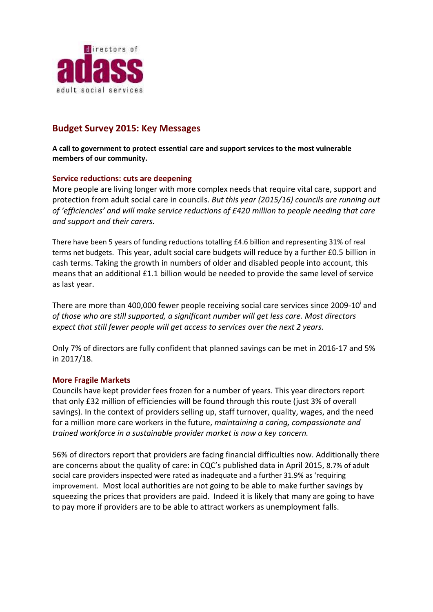

# **Budget Survey 2015: Key Messages**

**A call to government to protect essential care and support services to the most vulnerable members of our community.**

### **Service reductions: cuts are deepening**

More people are living longer with more complex needs that require vital care, support and protection from adult social care in councils. *But this year (2015/16) councils are running out of 'efficiencies' and will make service reductions of £420 million to people needing that care and support and their carers.* 

There have been 5 years of funding reductions totalling £4.6 billion and representing 31% of real terms net budgets. This year, adult social care budgets will reduce by a further £0.5 billion in cash terms. Taking the growth in numbers of older and disabled people into account, this means that an additional £1.1 billion would be needed to provide the same level of service as last year.

There are more than 400,000 fewer people receiving social care services since 2009-10<sup>i</sup> and *of those who are still supported, a significant number will get less care. Most directors expect that still fewer people will get access to services over the next 2 years.*

Only 7% of directors are fully confident that planned savings can be met in 2016-17 and 5% in 2017/18.

### **More Fragile Markets**

Councils have kept provider fees frozen for a number of years. This year directors report that only £32 million of efficiencies will be found through this route (just 3% of overall savings). In the context of providers selling up, staff turnover, quality, wages, and the need for a million more care workers in the future, *maintaining a caring, compassionate and trained workforce in a sustainable provider market is now a key concern.*

56% of directors report that providers are facing financial difficulties now. Additionally there are concerns about the quality of care: in CQC's published data in April 2015, 8.7% of adult social care providers inspected were rated as inadequate and a further 31.9% as 'requiring improvement. Most local authorities are not going to be able to make further savings by squeezing the prices that providers are paid. Indeed it is likely that many are going to have to pay more if providers are to be able to attract workers as unemployment falls.